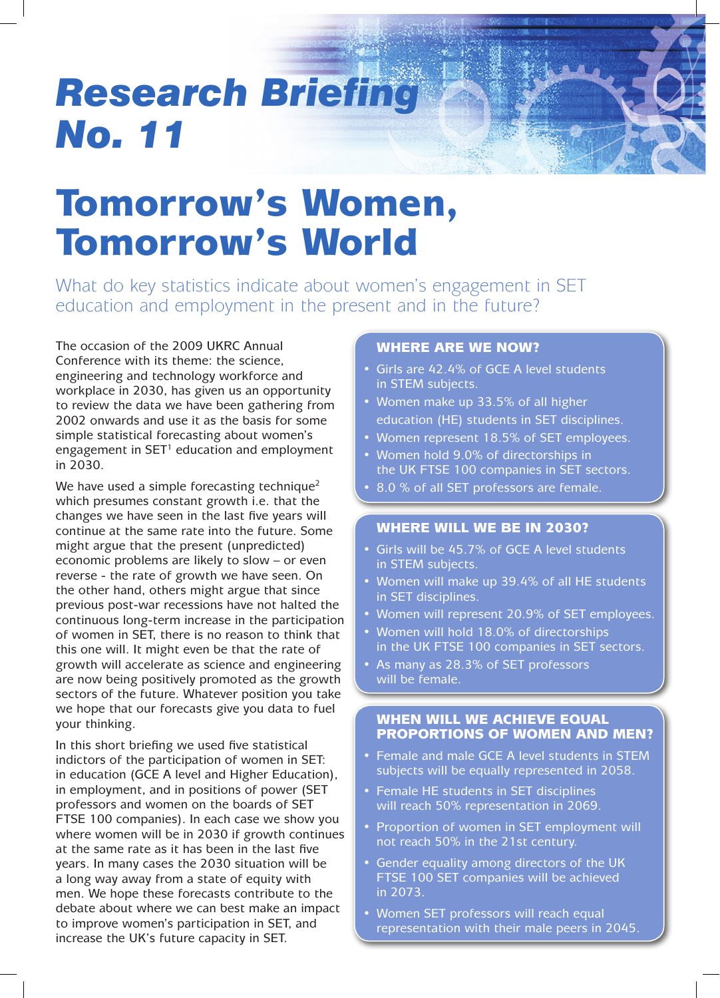# *Research Briefing No. 11*

# Tomorrow's Women, Tomorrow's World

What do key statistics indicate about women's engagement in SET education and employment in the present and in the future?

The occasion of the 2009 UKRC Annual Conference with its theme: the science, engineering and technology workforce and workplace in 2030, has given us an opportunity to review the data we have been gathering from 2002 onwards and use it as the basis for some simple statistical forecasting about women's engagement in  $SET<sup>1</sup>$  education and employment in 2030.

We have used a simple forecasting technique<sup>2</sup> which presumes constant growth i.e. that the changes we have seen in the last five years will continue at the same rate into the future. Some might argue that the present (unpredicted) economic problems are likely to slow – or even reverse - the rate of growth we have seen. On the other hand, others might argue that since previous post-war recessions have not halted the continuous long-term increase in the participation of women in SET, there is no reason to think that this one will. It might even be that the rate of growth will accelerate as science and engineering are now being positively promoted as the growth sectors of the future. Whatever position you take we hope that our forecasts give you data to fuel your thinking.

In this short briefing we used five statistical indictors of the participation of women in SET: in education (GCE A level and Higher Education), in employment, and in positions of power (SET professors and women on the boards of SET FTSE 100 companies). In each case we show you where women will be in 2030 if growth continues at the same rate as it has been in the last five years. In many cases the 2030 situation will be a long way away from a state of equity with men. We hope these forecasts contribute to the debate about where we can best make an impact to improve women's participation in SET, and increase the UK's future capacity in SET.

# Where are we now?

- Girls are 42.4% of GCE A level students in STEM subjects.
- Women make up 33.5% of all higher education (HE) students in SET disciplines.
- Women represent 18.5% of SET employees.
- • Women hold 9.0% of directorships in the UK FTSE 100 companies in SET sectors.
- 8.0 % of all SET professors are female.

# Where will we be in 2030?

- Girls will be 45.7% of GCE A level students in STEM subjects.
- Women will make up 39.4% of all HE students in SET disciplines.
- Women will represent 20.9% of SET employees.
- Women will hold 18.0% of directorships in the UK FTSE 100 companies in SET sectors.
- As many as 28.3% of SET professors will be female.

# WHEN WILL WE ACHIEVE EQUAL proportions of women and men?

- Female and male GCE A level students in STEM subjects will be equally represented in 2058.
- Female HE students in SET disciplines will reach 50% representation in 2069.
- Proportion of women in SET employment will not reach 50% in the 21st century.
- Gender equality among directors of the UK FTSE 100 SET companies will be achieved in 2073.
- Women SET professors will reach equal representation with their male peers in 2045.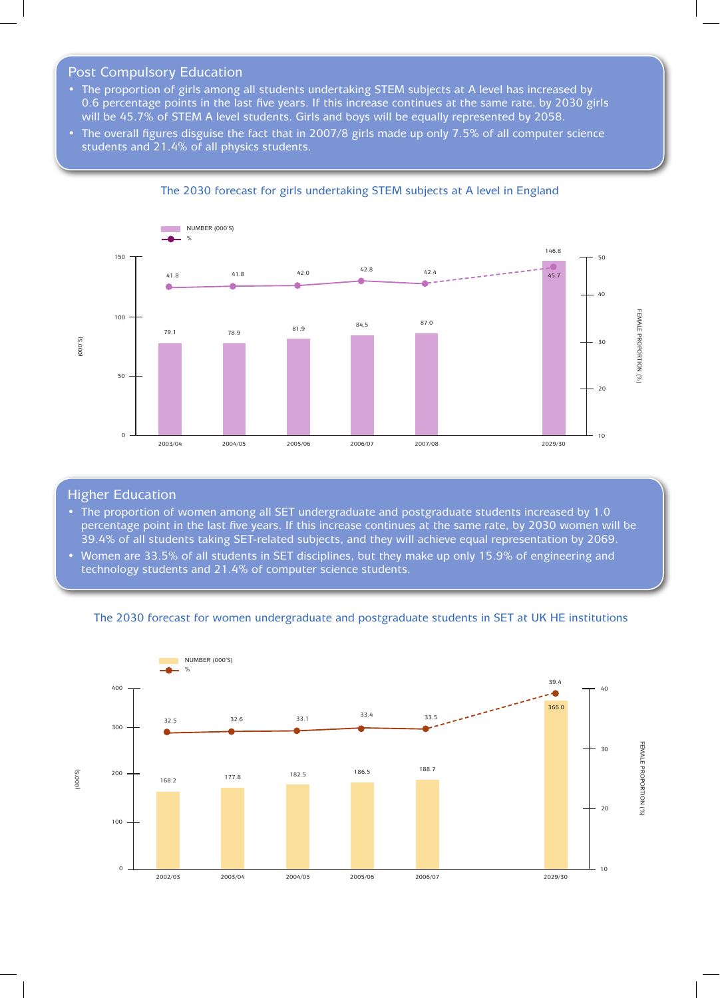### Post Compulsory Education

- The proportion of girls among all students undertaking STEM subjects at A level has increased by 0.6 percentage points in the last five years. If this increase continues at the same rate, by 2030 girls will be 45.7% of STEM A level students. Girls and boys will be equally represented by 2058.
- The overall figures disguise the fact that in 2007/8 girls made up only 7.5% of all computer science students and 21.4% of all physics students.



#### The 2030 forecast for girls undertaking STEM subjects at A level in England

#### Higher Education

- The proportion of women among all SET undergraduate and postgraduate students increased by 1.0 percentage point in the last five years. If this increase continues at the same rate, by 2030 women will be 39.4% of all students taking SET-related subjects, and they will achieve equal representation by 2069.
- • Women are 33.5% of all students in SET disciplines, but they make up only 15.9% of engineering and technology students and 21.4% of computer science students.



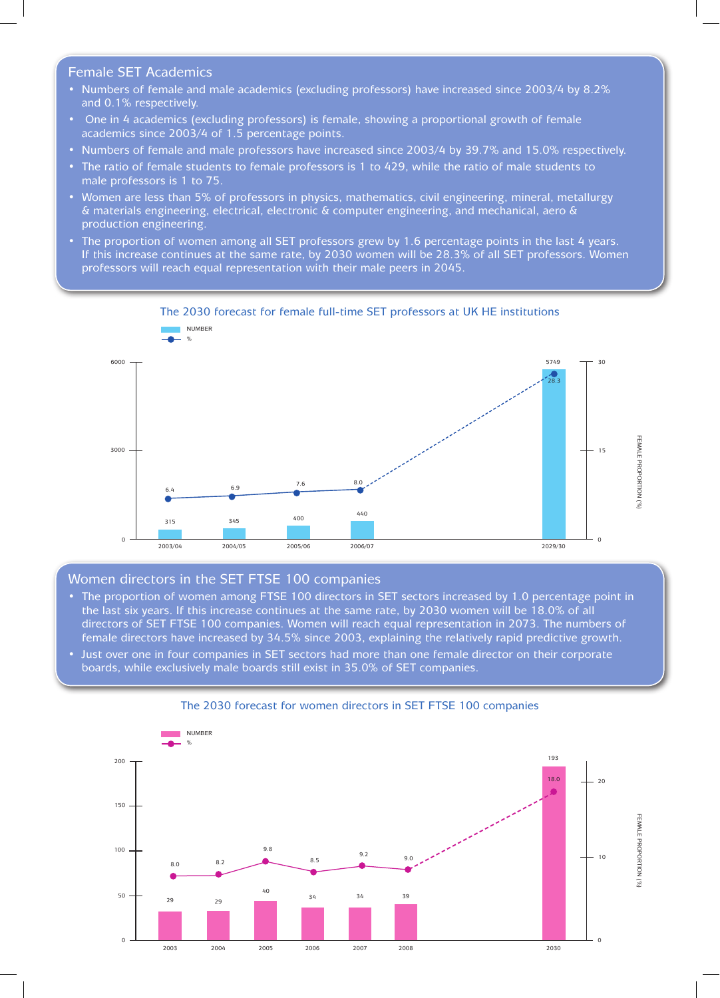## Female SET Academics

- Numbers of female and male academics (excluding professors) have increased since 2003/4 by 8.2% and 0.1% respectively.
- One in 4 academics (excluding professors) is female, showing a proportional growth of female academics since 2003/4 of 1.5 percentage points.
- • Numbers of female and male professors have increased since 2003/4 by 39.7% and 15.0% respectively.
- The ratio of female students to female professors is 1 to 429, while the ratio of male students to male professors is 1 to 75.
- Women are less than 5% of professors in physics, mathematics, civil engineering, mineral, metallurgy & materials engineering, electrical, electronic & computer engineering, and mechanical, aero & production engineering.
- The proportion of women among all SET professors grew by 1.6 percentage points in the last 4 years. If this increase continues at the same rate, by 2030 women will be 28.3% of all SET professors. Women professors will reach equal representation with their male peers in 2045.



# The 2030 forecast for female full-time SET professors at UK HE institutions

# Women directors in the SET FTSE 100 companies

- The proportion of women among FTSE 100 directors in SET sectors increased by 1.0 percentage point in the last six years. If this increase continues at the same rate, by 2030 women will be 18.0% of all directors of SET FTSE 100 companies. Women will reach equal representation in 2073. The numbers of female directors have increased by 34.5% since 2003, explaining the relatively rapid predictive growth.
- Just over one in four companies in SET sectors had more than one female director on their corporate boards, while exclusively male boards still exist in 35.0% of SET companies.



#### The 2030 forecast for women directors in SET FTSE 100 companies